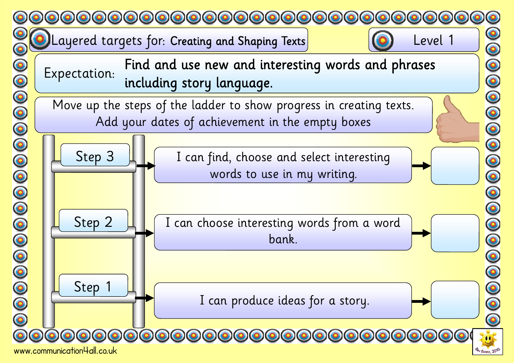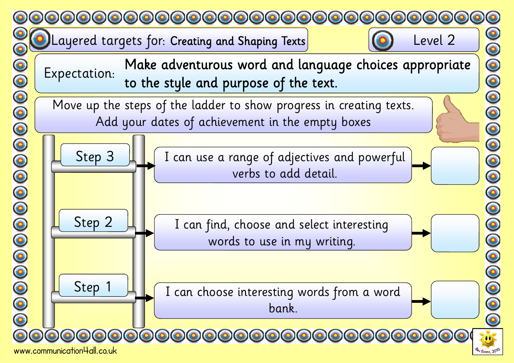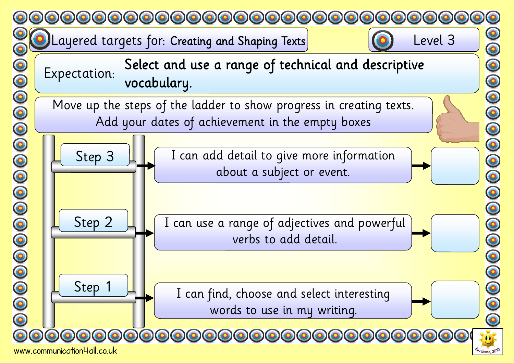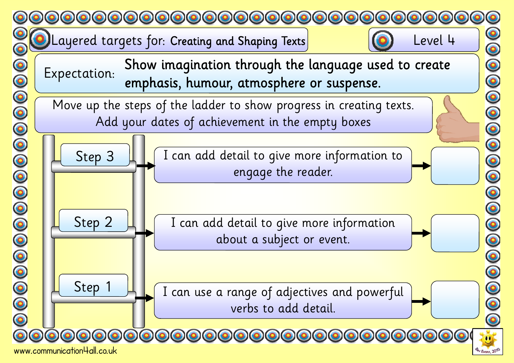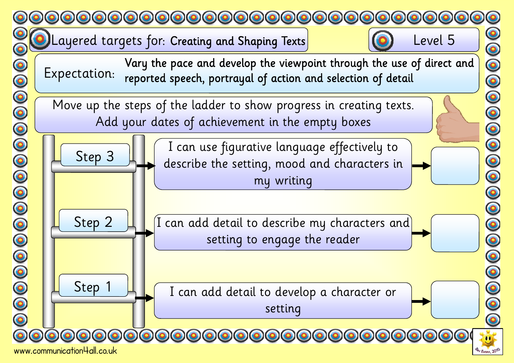